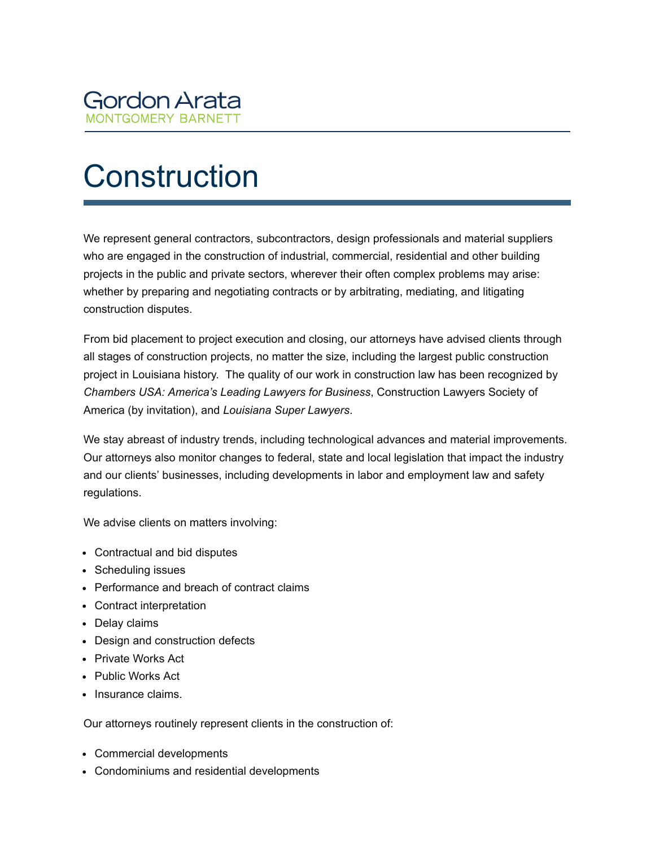

## **Construction**

We represent general contractors, subcontractors, design professionals and material suppliers who are engaged in the construction of industrial, commercial, residential and other building projects in the public and private sectors, wherever their often complex problems may arise: whether by preparing and negotiating contracts or by arbitrating, mediating, and litigating construction disputes.

From bid placement to project execution and closing, our attorneys have advised clients through all stages of construction projects, no matter the size, including the largest public construction project in Louisiana history. The quality of our work in construction law has been recognized by *Chambers USA: America's Leading Lawyers for Business*, Construction Lawyers Society of America (by invitation), and *Louisiana Super Lawyers*.

We stay abreast of industry trends, including technological advances and material improvements. Our attorneys also monitor changes to federal, state and local legislation that impact the industry and our clients' businesses, including developments in labor and employment law and safety regulations.

We advise clients on matters involving:

- Contractual and bid disputes
- Scheduling issues
- Performance and breach of contract claims
- Contract interpretation
- Delay claims
- Design and construction defects
- Private Works Act
- Public Works Act
- Insurance claims.

Our attorneys routinely represent clients in the construction of:

- Commercial developments
- Condominiums and residential developments